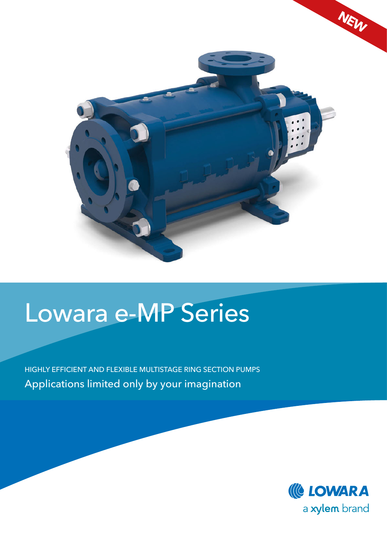

# Lowara e-MP Series

HIGHLY EFFICIENT AND FLEXIBLE MULTISTAGE RING SECTION PUMPS Applications limited only by your imagination

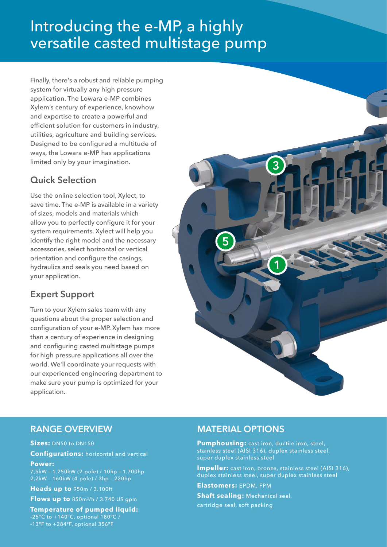# Introducing the e-MP, a highly versatile casted multistage pump

Finally, there's a robust and reliable pumping system for virtually any high pressure application. The Lowara e-MP combines Xylem's century of experience, knowhow and expertise to create a powerful and efficient solution for customers in industry, utilities, agriculture and building services. Designed to be configured a multitude of ways, the Lowara e-MP has applications limited only by your imagination.

## **Quick Selection**

Use the online selection tool, Xylect, to save time. The e-MP is available in a variety of sizes, models and materials which allow you to perfectly configure it for your system requirements. Xylect will help you identify the right model and the necessary accessories, select horizontal or vertical orientation and configure the casings, hydraulics and seals you need based on your application.

## **Expert Support**

Turn to your Xylem sales team with any questions about the proper selection and configuration of your e-MP. Xylem has more than a century of experience in designing and configuring casted multistage pumps for high pressure applications all over the world. We'll coordinate your requests with our experienced engineering department to make sure your pump is optimized for your application.



## **RANGE OVERVIEW**

**Sizes:** DN50 to DN150

**Configurations:** horizontal and vertical

#### **Power:**

7,5kW – 1.250kW (2-pole) / 10hp – 1.700hp 2,2kW – 160kW (4-pole) / 3hp – 220hp

**Heads up to** 950m / 3.100ft

**Flows up to** 850m3/h / 3.740 US gpm

**Temperature of pumped liquid:** -25°C to +140°C, optional 180°C / -13ºF to +284ºF, optional 356ºF

#### **MATERIAL OPTIONS**

**Pumphousing:** cast iron, ductile iron, steel, stainless steel (AISI 316), duplex stainless steel, super duplex stainless steel

**Impeller:** cast iron, bronze, stainless steel (AISI 316), duplex stainless steel, super duplex stainless steel

**Elastomers:** EPDM, FPM

**Shaft sealing:** Mechanical seal, cartridge seal, soft packing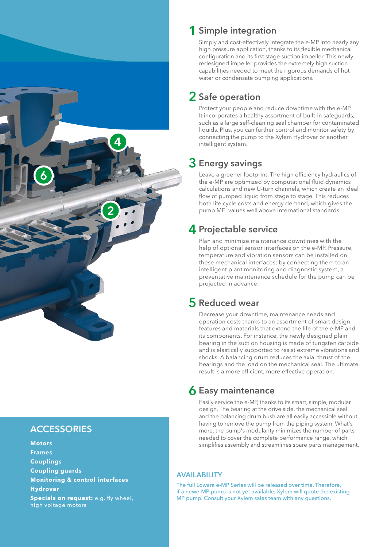

## **ACCESSORIES**

**Motors Frames Couplings Coupling guards Monitoring & control interfaces Hydrovar Specials on request:** e.g. fly wheel, high voltage motors

## **1 Simple integration**

Simply and cost-effectively integrate the e-MP into nearly any high pressure application, thanks to its flexible mechanical configuration and its first stage suction impeller. This newly redesigned impeller provides the extremely high suction capabilities needed to meet the rigorous demands of hot water or condensate pumping applications.

## **2 Safe operation**

Protect your people and reduce downtime with the e-MP. It incorporates a healthy assortment of built-in safeguards, such as a large self-cleaning seal chamber for contaminated liquids. Plus, you can further control and monitor safety by connecting the pump to the Xylem Hydrovar or another intelligent system.

## **3 Energy savings**

Leave a greener footprint. The high efficiency hydraulics of the e-MP are optimized by computational fluid dynamics calculations and new U-turn channels, which create an ideal flow of pumped liquid from stage to stage. This reduces both life cycle costs and energy demand, which gives the pump MEI values well above international standards.

## **4 Projectable service**

Plan and minimize maintenance downtimes with the help of optional sensor interfaces on the e-MP. Pressure, temperature and vibration sensors can be installed on these mechanical interfaces; by connecting them to an intelligent plant monitoring and diagnostic system, a preventative maintenance schedule for the pump can be projected in advance.

## **5 Reduced wear**

Decrease your downtime, maintenance needs and operation costs thanks to an assortment of smart design features and materials that extend the life of the e-MP and its components. For instance, the newly designed plain bearing in the suction housing is made of tungsten carbide and is elastically supported to resist extreme vibrations and shocks. A balancing drum reduces the axial thrust of the bearings and the load on the mechanical seal. The ultimate result is a more efficient, more effective operation.

## **6 Easy maintenance**

Easily service the e-MP, thanks to its smart, simple, modular design. The bearing at the drive side, the mechanical seal and the balancing drum bush are all easily accessible without having to remove the pump from the piping system. What's more, the pump's modularity minimizes the number of parts needed to cover the complete performance range, which simplifies assembly and streamlines spare parts management.

#### **AVAILABILITY**

The full Lowara e-MP Series will be released over time. Therefore, if a newe-MP pump is not yet available, Xylem will quote the existing MP pump. Consult your Xylem sales team with any questions.